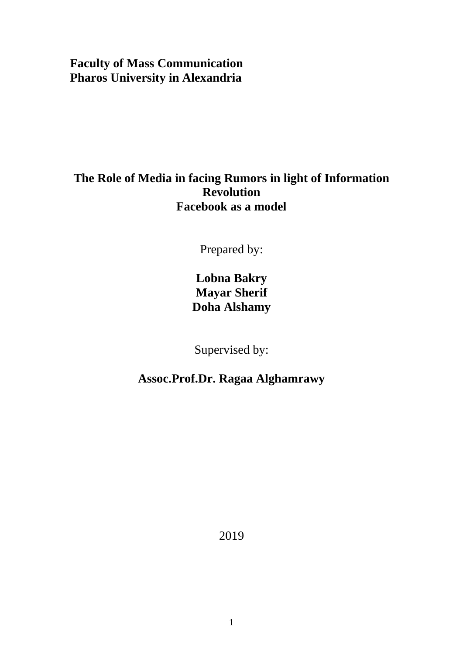# **Faculty of Mass Communication Pharos University in Alexandria**

# **The Role of Media in facing Rumors in light of Information Revolution Facebook as a model**

Prepared by:

**Lobna Bakry Mayar Sherif Doha Alshamy**

Supervised by:

**Assoc.Prof.Dr. Ragaa Alghamrawy**

2019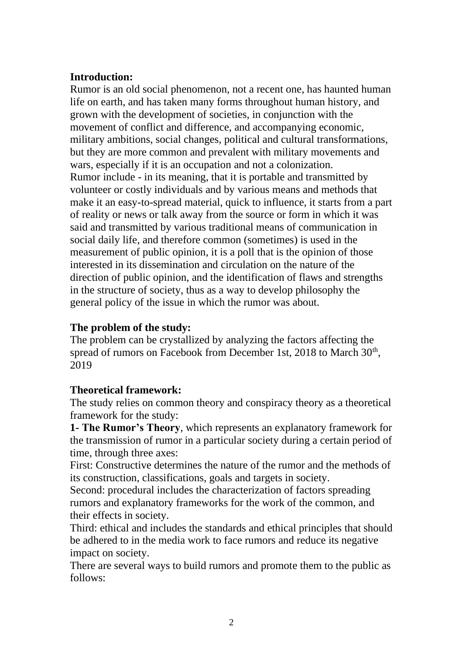#### **Introduction:**

Rumor is an old social phenomenon, not a recent one, has haunted human life on earth, and has taken many forms throughout human history, and grown with the development of societies, in conjunction with the movement of conflict and difference, and accompanying economic, military ambitions, social changes, political and cultural transformations, but they are more common and prevalent with military movements and wars, especially if it is an occupation and not a colonization. Rumor include - in its meaning, that it is portable and transmitted by volunteer or costly individuals and by various means and methods that make it an easy-to-spread material, quick to influence, it starts from a part of reality or news or talk away from the source or form in which it was said and transmitted by various traditional means of communication in social daily life, and therefore common (sometimes) is used in the measurement of public opinion, it is a poll that is the opinion of those interested in its dissemination and circulation on the nature of the direction of public opinion, and the identification of flaws and strengths in the structure of society, thus as a way to develop philosophy the general policy of the issue in which the rumor was about.

#### **The problem of the study:**

The problem can be crystallized by analyzing the factors affecting the spread of rumors on Facebook from December 1st, 2018 to March 30<sup>th</sup>, 2019

### **Theoretical framework:**

The study relies on common theory and conspiracy theory as a theoretical framework for the study:

**1- The Rumor's Theory**, which represents an explanatory framework for the transmission of rumor in a particular society during a certain period of time, through three axes:

First: Constructive determines the nature of the rumor and the methods of its construction, classifications, goals and targets in society.

Second: procedural includes the characterization of factors spreading rumors and explanatory frameworks for the work of the common, and their effects in society.

Third: ethical and includes the standards and ethical principles that should be adhered to in the media work to face rumors and reduce its negative impact on society.

There are several ways to build rumors and promote them to the public as follows: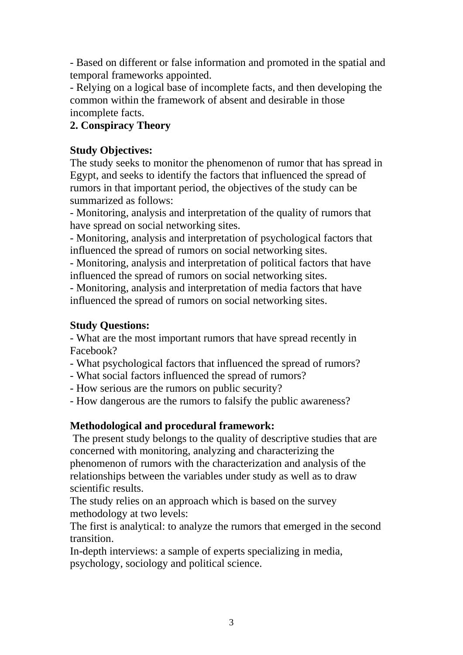- Based on different or false information and promoted in the spatial and temporal frameworks appointed.

- Relying on a logical base of incomplete facts, and then developing the common within the framework of absent and desirable in those incomplete facts.

## **2. Conspiracy Theory**

### **Study Objectives:**

The study seeks to monitor the phenomenon of rumor that has spread in Egypt, and seeks to identify the factors that influenced the spread of rumors in that important period, the objectives of the study can be summarized as follows:

- Monitoring, analysis and interpretation of the quality of rumors that have spread on social networking sites.

- Monitoring, analysis and interpretation of psychological factors that influenced the spread of rumors on social networking sites.

- Monitoring, analysis and interpretation of political factors that have influenced the spread of rumors on social networking sites.

- Monitoring, analysis and interpretation of media factors that have influenced the spread of rumors on social networking sites.

### **Study Questions:**

- What are the most important rumors that have spread recently in Facebook?

- What psychological factors that influenced the spread of rumors?

- What social factors influenced the spread of rumors?
- How serious are the rumors on public security?

- How dangerous are the rumors to falsify the public awareness?

### **Methodological and procedural framework:**

The present study belongs to the quality of descriptive studies that are concerned with monitoring, analyzing and characterizing the phenomenon of rumors with the characterization and analysis of the relationships between the variables under study as well as to draw scientific results.

The study relies on an approach which is based on the survey methodology at two levels:

The first is analytical: to analyze the rumors that emerged in the second transition.

In-depth interviews: a sample of experts specializing in media, psychology, sociology and political science.